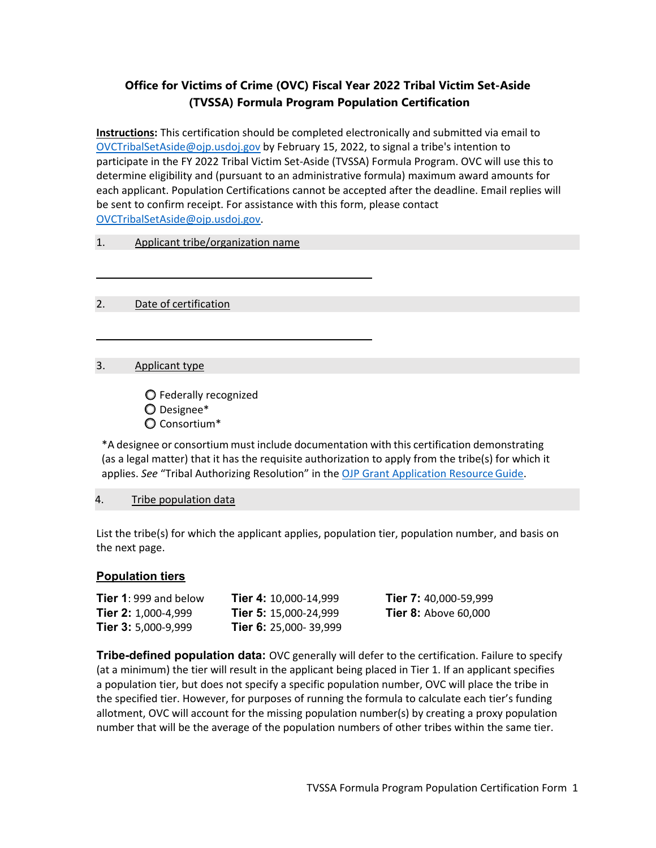## **Office for Victims of Crime (OVC) Fiscal Year 2022 Tribal Victim Set-Aside (TVSSA) Formula Program Population Certification**

 [OVCTribalSetAside@ojp.usdoj.gov](mailto:OVCTribalSetAside@ojp.usdoj.gov) by February 15, 2022, to signal a tribe's intention to participate in the FY 2022 Tribal Victim Set-Aside (TVSSA) Formula Program. OVC will use this to determine eligibility and (pursuant to an administrative formula) maximum award amounts for be sent to confirm receipt. For assistance with this form, please contact **Instructions:** This certification should be completed electronically and submitted via email to each applicant. Population Certifications cannot be accepted after the deadline. Email replies will [OVCTribalSetAside@ojp.usdoj.gov.](mailto:OVCTribalSetAside@ojp.usdoj.gov)

#### 1. Applicant tribe/organization name

2. Date of certification

#### 3. Applicant type

Federally recognized Designee\* Consortium\*

 \*A designee or consortium must include documentation with this certification demonstrating applies. *See* "Tribal Authorizing Resolution" in the [OJP Grant Application Resource Guide.](https://www.ojp.gov/microsite-subpage/ojp-grant-application-resource-guide) (as a legal matter) that it has the requisite authorization to apply from the tribe(s) for which it

## 4. Tribe population data

 the next page. List the tribe(s) for which the applicant applies, population tier, population number, and basis on

## **Population tiers**

| Tier 1: 999 and below      | <b>Tier 4: 10,000-14,999</b> | Tier 7: 40,000-59,999       |
|----------------------------|------------------------------|-----------------------------|
| Tier 2: 1,000-4,999        | <b>Tier 5: 15.000-24.999</b> | <b>Tier 8: Above 60,000</b> |
| <b>Tier 3: 5,000-9,999</b> | <b>Tier 6: 25,000-39,999</b> |                             |

 (at a minimum) the tier will result in the applicant being placed in Tier 1. If an applicant specifies a population tier, but does not specify a specific population number, OVC will place the tribe in number that will be the average of the population numbers of other tribes within the same tier. **Tribe-defined population data:** OVC generally will defer to the certification. Failure to specify the specified tier. However, for purposes of running the formula to calculate each tier's funding allotment, OVC will account for the missing population number(s) by creating a proxy population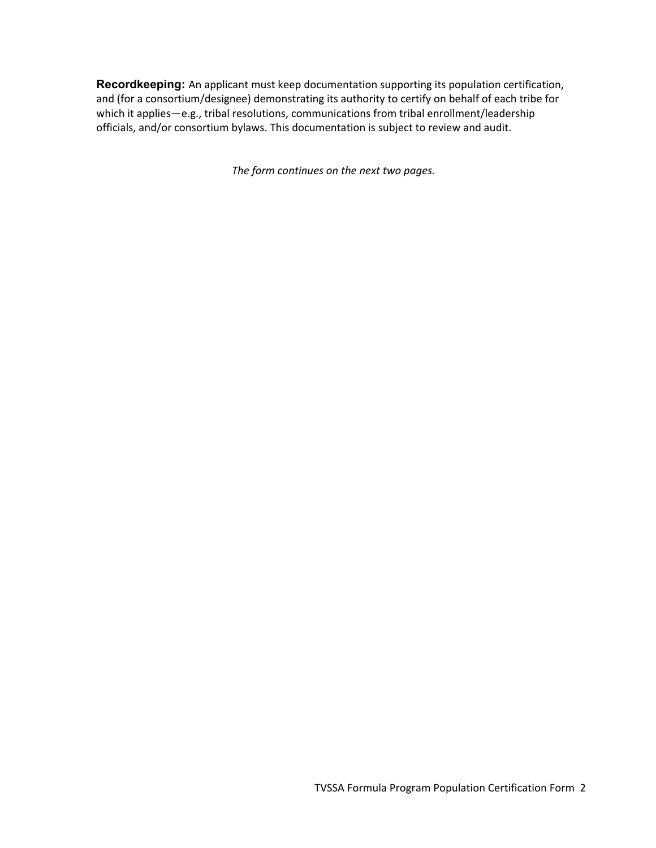officials, and/or consortium bylaws. This documentation is subject to review and audit. **Recordkeeping:** An applicant must keep documentation supporting its population certification, and (for a consortium/designee) demonstrating its authority to certify on behalf of each tribe for which it applies—e.g., tribal resolutions, communications from tribal enrollment/leadership

*The form continues on the next two pages.*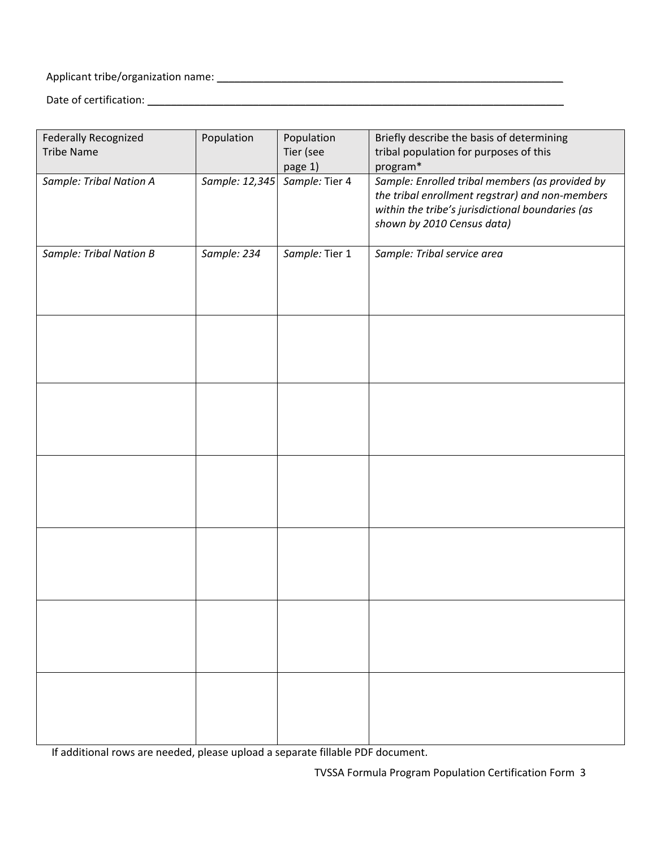# Applicant tribe/organization name: \_\_\_\_\_\_\_\_\_\_\_\_\_\_\_\_\_\_\_\_\_\_\_\_\_\_\_\_\_\_\_\_\_\_\_\_\_\_\_\_\_\_\_\_\_\_\_\_\_\_\_\_\_\_\_\_\_\_\_

Date of certification: \_\_\_\_\_\_\_\_\_\_\_\_\_\_\_\_\_\_\_\_\_\_\_\_\_\_\_\_\_\_\_\_\_\_\_\_\_\_\_\_\_\_\_\_\_\_\_\_\_\_\_\_\_\_\_\_\_\_\_\_\_\_\_\_\_\_\_\_\_\_\_

| Federally Recognized           | Population     | Population     | Briefly describe the basis of determining                                                                                                                                            |
|--------------------------------|----------------|----------------|--------------------------------------------------------------------------------------------------------------------------------------------------------------------------------------|
| <b>Tribe Name</b>              |                | Tier (see      | tribal population for purposes of this                                                                                                                                               |
|                                |                | page 1)        | program*                                                                                                                                                                             |
| Sample: Tribal Nation A        | Sample: 12,345 | Sample: Tier 4 | Sample: Enrolled tribal members (as provided by<br>the tribal enrollment regstrar) and non-members<br>within the tribe's jurisdictional boundaries (as<br>shown by 2010 Census data) |
| <b>Sample: Tribal Nation B</b> | Sample: 234    | Sample: Tier 1 | Sample: Tribal service area                                                                                                                                                          |
|                                |                |                |                                                                                                                                                                                      |
|                                |                |                |                                                                                                                                                                                      |
|                                |                |                |                                                                                                                                                                                      |
|                                |                |                |                                                                                                                                                                                      |
|                                |                |                |                                                                                                                                                                                      |
|                                |                |                |                                                                                                                                                                                      |

If additional rows are needed, please upload a separate fillable PDF document.

TVSSA Formula Program Population Certification Form 3